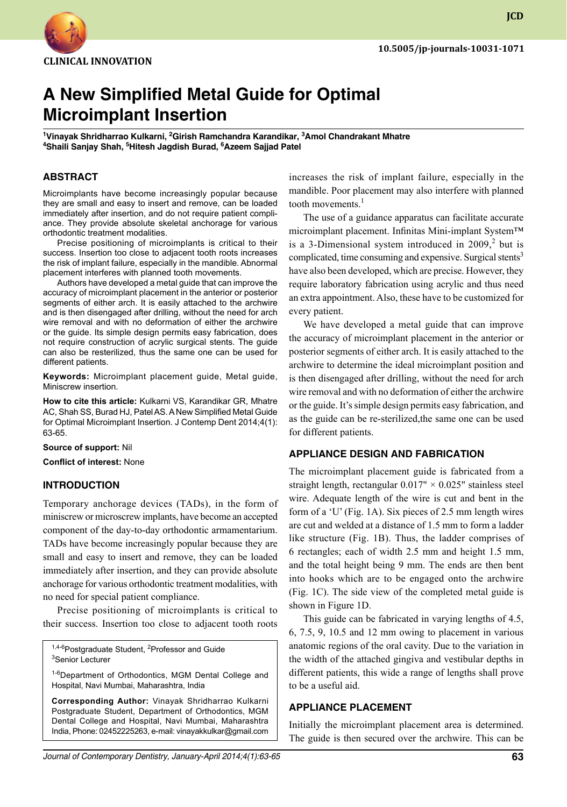

# **A New Simplified Metal Guide for Optimal Microimplant Insertion**

**1 Vinayak Shridharrao Kulkarni, <sup>2</sup> Girish Ramchandra Karandikar, <sup>3</sup> Amol Chandrakant Mhatre 4 Shaili Sanjay Shah, <sup>5</sup> Hitesh Jagdish Burad, <sup>6</sup> Azeem Sajjad Patel**

## **ABSTRACT**

Microimplants have become increasingly popular because they are small and easy to insert and remove, can be loaded immediately after insertion, and do not require patient compliance. They provide absolute skeletal anchorage for various orthodontic treatment modalities.

Precise positioning of microimplants is critical to their success. Insertion too close to adjacent tooth roots increases the risk of implant failure, especially in the mandible. Abnormal placement interferes with planned tooth movements.

Authors have developed a metal guide that can improve the accuracy of microimplant placement in the anterior or posterior segments of either arch. It is easily attached to the archwire and is then disengaged after drilling, without the need for arch wire removal and with no deformation of either the archwire or the guide. Its simple design permits easy fabrication, does not require construction of acrylic surgical stents. The guide can also be resterilized, thus the same one can be used for different patients.

**Keywords:** Microimplant placement guide, Metal guide, Miniscrew insertion.

**How to cite this article:** Kulkarni VS, Karandikar GR, Mhatre AC, Shah SS, Burad HJ, Patel AS. A New Simplified Metal Guide for Optimal Microimplant Insertion. J Contemp Dent 2014;4(1): 63-65.

#### **Source of support:** Nil

**Conflict of interest:** None

#### **Introduction**

Temporary anchorage devices (TADs), in the form of miniscrew or microscrew implants, have become an accepted component of the day-to-day orthodontic armamentarium. TADs have become increasingly popular because they are small and easy to insert and remove, they can be loaded immediately after insertion, and they can provide absolute anchorage for various orthodontic treatment modalities, with no need for special patient compliance.

Precise positioning of microimplants is critical to their success. Insertion too close to adjacent tooth roots

<sup>1,4-6</sup>Postgraduate Student, <sup>2</sup>Professor and Guide<br><sup>3</sup>Senior Lecturer <sup>3</sup>Senior Lecturer

<sup>1-6</sup>Department of Orthodontics, MGM Dental College and Hospital, Navi Mumbai, Maharashtra, India

**Corresponding Author:** Vinayak Shridharrao Kulkarni Postgraduate Student, Department of Orthodontics, MGM Dental College and Hospital, Navi Mumbai, Maharashtra India, Phone: 02452225263, e-mail: vinayakkulkar@gmail.com increases the risk of implant failure, especially in the mandible. Poor placement may also interfere with planned tooth movements. $<sup>1</sup>$ </sup>

The use of a guidance apparatus can facilitate accurate microimplant placement. Infinitas Mini-implant System™ is a 3-Dimensional system introduced in  $2009$ ,<sup>2</sup> but is complicated, time consuming and expensive. Surgical stents<sup>3</sup> have also been developed, which are precise. However, they require laboratory fabrication using acrylic and thus need an extra appointment. Also, these have to be customized for every patient.

We have developed a metal guide that can improve the accuracy of microimplant placement in the anterior or posterior segments of either arch. It is easily attached to the archwire to determine the ideal microimplant position and is then disengaged after drilling, without the need for arch wire removal and with no deformation of either the archwire or the guide. It's simple design permits easy fabrication, and as the guide can be re-sterilized,the same one can be used for different patients.

# **Appliance design and fabrication**

The microimplant placement guide is fabricated from a straight length, rectangular  $0.017" \times 0.025"$  stainless steel wire. Adequate length of the wire is cut and bent in the form of a 'U' (Fig. 1A). Six pieces of 2.5 mm length wires are cut and welded at a distance of 1.5 mm to form a ladder like structure (Fig. 1B). Thus, the ladder comprises of 6 rectangles; each of width 2.5 mm and height 1.5 mm, and the total height being 9 mm. The ends are then bent into hooks which are to be engaged onto the archwire (Fig. 1C). The side view of the completed metal guide is shown in Figure 1D.

This guide can be fabricated in varying lengths of 4.5, 6, 7.5, 9, 10.5 and 12 mm owing to placement in various anatomic regions of the oral cavity. Due to the variation in the width of the attached gingiva and vestibular depths in different patients, this wide a range of lengths shall prove to be a useful aid.

## **Appliance placement**

Initially the microimplant placement area is determined. The guide is then secured over the archwire. This can be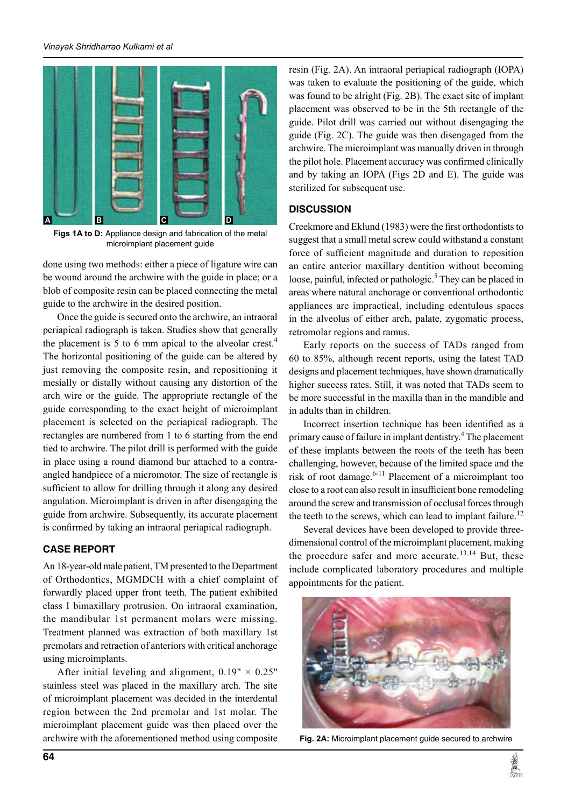

**Figs 1A to D:** Appliance design and fabrication of the metal microimplant placement guide

done using two methods: either a piece of ligature wire can be wound around the archwire with the guide in place; or a blob of composite resin can be placed connecting the metal guide to the archwire in the desired position.

Once the guide is secured onto the archwire, an intraoral periapical radiograph is taken. Studies show that generally the placement is 5 to 6 mm apical to the alveolar crest.<sup>4</sup> The horizontal positioning of the guide can be altered by just removing the composite resin, and repositioning it mesially or distally without causing any distortion of the arch wire or the guide. The appropriate rectangle of the guide corresponding to the exact height of microimplant placement is selected on the periapical radiograph. The rectangles are numbered from 1 to 6 starting from the end tied to archwire. The pilot drill is performed with the guide in place using a round diamond bur attached to a contraangled handpiece of a micromotor. The size of rectangle is sufficient to allow for drilling through it along any desired angulation. Microimplant is driven in after disengaging the guide from archwire. Subsequently, its accurate placement is confirmed by taking an intraoral periapical radiograph.

# **Case Report**

An 18-year-old male patient, TM presented to the Department of Orthodontics, MGMDCH with a chief complaint of forwardly placed upper front teeth. The patient exhibited class I bimaxillary protrusion. On intraoral examination, the mandibular 1st permanent molars were missing. Treatment planned was extraction of both maxillary 1st premolars and retraction of anteriors with critical anchorage using microimplants.

After initial leveling and alignment,  $0.19" \times 0.25"$ stainless steel was placed in the maxillary arch. The site of microimplant placement was decided in the interdental region between the 2nd premolar and 1st molar. The microimplant placement guide was then placed over the archwire with the aforementioned method using composite

resin (Fig. 2A). An intraoral periapical radiograph (IOPA) was taken to evaluate the positioning of the guide, which was found to be alright (Fig. 2B). The exact site of implant placement was observed to be in the 5th rectangle of the guide. Pilot drill was carried out without disengaging the guide (Fig. 2C). The guide was then disengaged from the archwire. The microimplant was manually driven in through the pilot hole. Placement accuracy was confirmed clinically and by taking an IOPA (Figs 2D and E). The guide was sterilized for subsequent use.

# **Discussion**

Creekmore and Eklund (1983) were the first orthodontists to suggest that a small metal screw could withstand a constant force of sufficient magnitude and duration to reposition an entire anterior maxillary dentition without becoming loose, painful, infected or pathologic.<sup>5</sup> They can be placed in areas where natural anchorage or conventional orthodontic appliances are impractical, including edentulous spaces in the alveolus of either arch, palate, zygomatic process, retromolar regions and ramus.

Early reports on the success of TADs ranged from 60 to 85%, although recent reports, using the latest TAD designs and placement techniques, have shown dramatically higher success rates. Still, it was noted that TADs seem to be more successful in the maxilla than in the mandible and in adults than in children.

Incorrect insertion technique has been identified as a primary cause of failure in implant dentistry.<sup>4</sup> The placement of these implants between the roots of the teeth has been challenging, however, because of the limited space and the risk of root damage. $6-11$  Placement of a microimplant too close to a root can also result in insufficient bone remodeling around the screw and transmission of occlusal forces through the teeth to the screws, which can lead to implant failure.<sup>12</sup>

Several devices have been developed to provide threedimensional control of the microimplant placement, making the procedure safer and more accurate.<sup>13,14</sup> But, these include complicated laboratory procedures and multiple appointments for the patient.



**Fig. 2A:** Microimplant placement guide secured to archwire